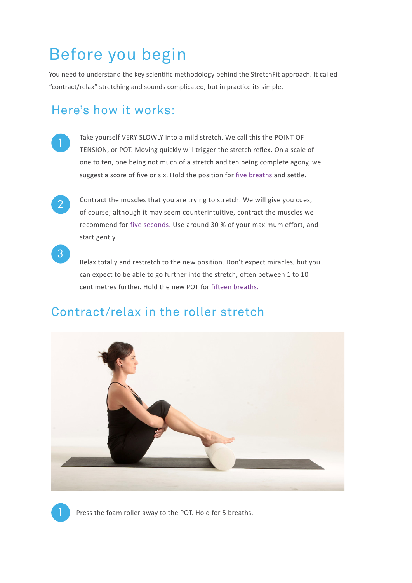## Before you begin

You need to understand the key scientific methodology behind the StretchFit approach. It called "contract/relax" stretching and sounds complicated, but in practice its simple.

## Here's how it works:

- Take yourself VERY SLOWLY into a mild stretch. We call this the POINT OF TENSION, or POT. Moving quickly will trigger the stretch reflex. On a scale of one to ten, one being not much of a stretch and ten being complete agony, we suggest a score of five or six. Hold the position for five breaths and settle.
- 2

3

1

Contract the muscles that you are trying to stretch. We will give you cues, of course; although it may seem counterintuitive, contract the muscles we recommend for five seconds. Use around 30 % of your maximum effort, and start gently.

Relax totally and restretch to the new position. Don't expect miracles, but you can expect to be able to go further into the stretch, often between 1 to 10 centimetres further. Hold the new POT for fifteen breaths.



## Contract/relax in the roller stretch

Press the foam roller away to the POT. Hold for 5 breaths.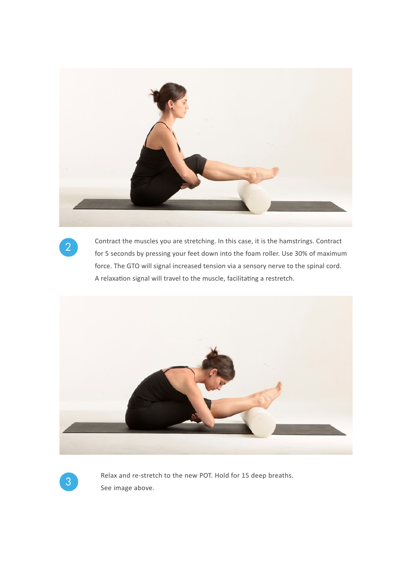

2

Contract the muscles you are stretching. In this case, it is the hamstrings. Contract for 5 seconds by pressing your feet down into the foam roller. Use 30% of maximum force. The GTO will signal increased tension via a sensory nerve to the spinal cord. A relaxation signal will travel to the muscle, facilitating a restretch.



<sup>3</sup> Relax and re-stretch to the new POT. Hold for 15 deep breaths. See image above.